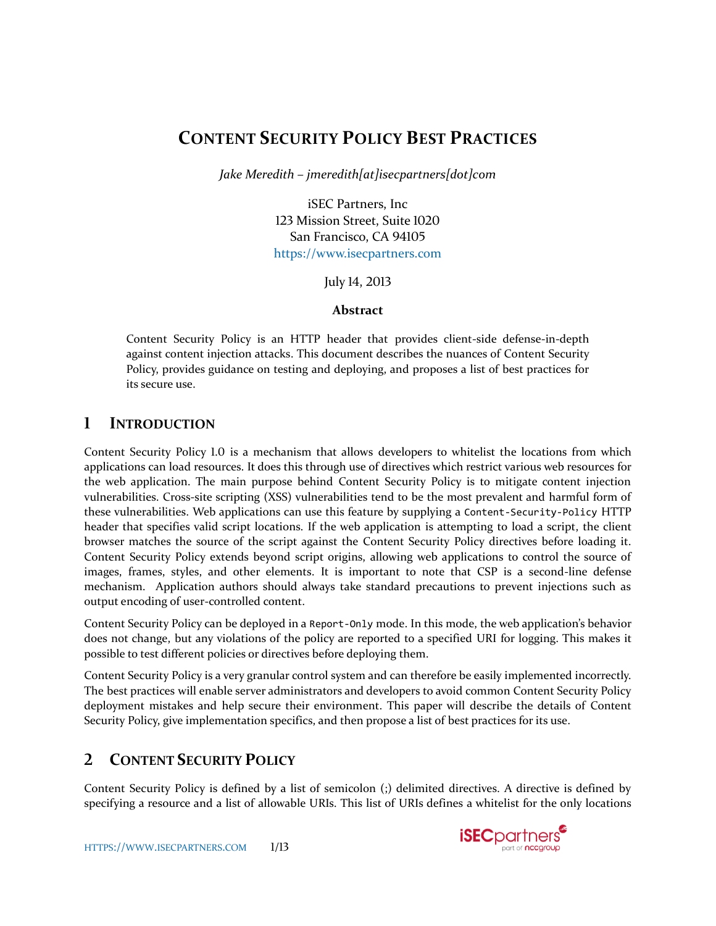# **CONTENT SECURITY POLICY BEST PRACTICES**

*Jake Meredith – jmeredith[at]isecpartners[dot]com*

iSEC Partners, Inc 123 Mission Street, Suite 1020 San Francisco, CA 94105 [https://www.isecpartners.com](https://www.isecpartners.com/)

July 14, 2013

# **Abstract**

Content Security Policy is an HTTP header that provides client-side defense-in-depth against content injection attacks. This document describes the nuances of Content Security Policy, provides guidance on testing and deploying, and proposes a list of best practices for its secure use.

# **1 INTRODUCTION**

Content Security Policy 1.0 is a mechanism that allows developers to whitelist the locations from which applications can load resources. It does this through use of directives which restrict various web resources for the web application. The main purpose behind Content Security Policy is to mitigate content injection vulnerabilities. Cross-site scripting (XSS) vulnerabilities tend to be the most prevalent and harmful form of these vulnerabilities. Web applications can use this feature by supplying a Content-Security-Policy HTTP header that specifies valid script locations. If the web application is attempting to load a script, the client browser matches the source of the script against the Content Security Policy directives before loading it. Content Security Policy extends beyond script origins, allowing web applications to control the source of images, frames, styles, and other elements. It is important to note that CSP is a second-line defense mechanism. Application authors should always take standard precautions to prevent injections such as output encoding of user-controlled content.

Content Security Policy can be deployed in a Report-Only mode. In this mode, the web application's behavior does not change, but any violations of the policy are reported to a specified URI for logging. This makes it possible to test different policies or directives before deploying them.

Content Security Policy is a very granular control system and can therefore be easily implemented incorrectly. The best practices will enable server administrators and developers to avoid common Content Security Policy deployment mistakes and help secure their environment. This paper will describe the details of Content Security Policy, give implementation specifics, and then propose a list of best practices for its use.

# **2 CONTENT SECURITY POLICY**

Content Security Policy is defined by a list of semicolon (;) delimited directives. A directive is defined by specifying a resource and a list of allowable URIs. This list of URIs defines a whitelist for the only locations

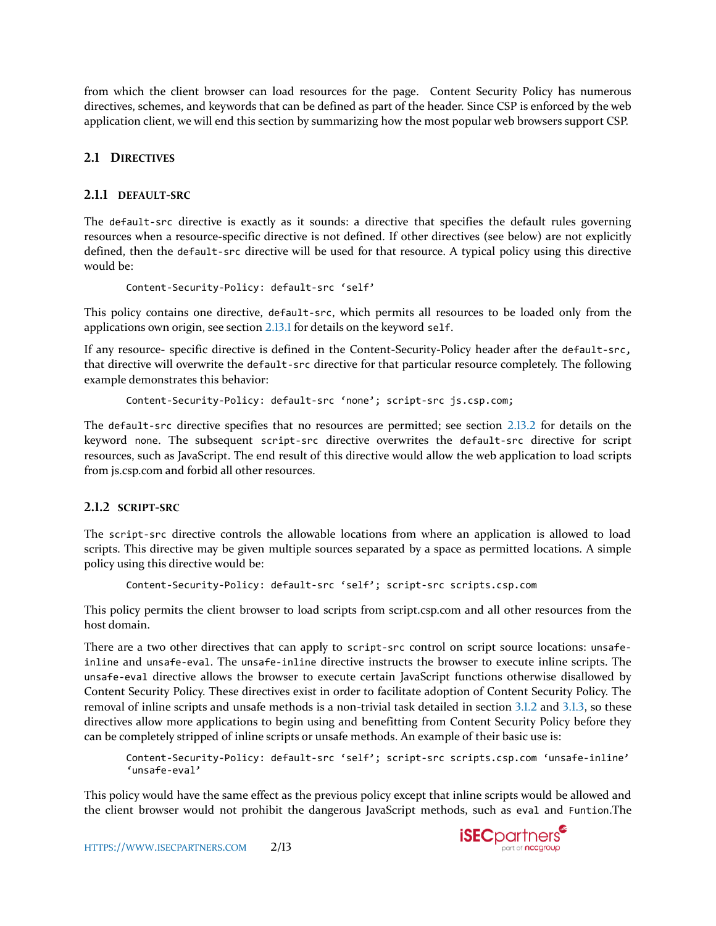from which the client browser can load resources for the page. Content Security Policy has numerous directives, schemes, and keywords that can be defined as part of the header. Since CSP is enforced by the web application client, we will end this section by summarizing how the most popular web browsers support CSP.

# **2.1 DIRECTIVES**

# **2.1.1 DEFAULT-SRC**

The default-src directive is exactly as it sounds: a directive that specifies the default rules governing resources when a resource-specific directive is not defined. If other directives (see below) are not explicitly defined, then the default-src directive will be used for that resource. A typical policy using this directive would be:

```
Content-Security-Policy: default-src 'self'
```
This policy contains one directive, default-src, which permits all resources to be loaded only from the applications own origin, see section [2.13.1](#page-4-0) for details on the keyword self.

If any resource- specific directive is defined in the Content-Security-Policy header after the default-src, that directive will overwrite the default-src directive for that particular resource completely. The following example demonstrates this behavior:

Content-Security-Policy: default-src 'none'; script-src js.csp.com;

The default-src directive specifies that no resources are permitted; see section [2.13.2](#page-5-0) for details on the keyword none. The subsequent script-src directive overwrites the default-src directive for script resources, such as JavaScript. The end result of this directive would allow the web application to load scripts from js.csp.com and forbid all other resources.

# **2.1.2 SCRIPT-SRC**

The script-src directive controls the allowable locations from where an application is allowed to load scripts. This directive may be given multiple sources separated by a space as permitted locations. A simple policy using this directive would be:

```
Content-Security-Policy: default-src 'self'; script-src scripts.csp.com
```
This policy permits the client browser to load scripts from script.csp.com and all other resources from the host domain.

There are a two other directives that can apply to script-src control on script source locations: unsafeinline and unsafe-eval. The unsafe-inline directive instructs the browser to execute inline scripts. The unsafe-eval directive allows the browser to execute certain JavaScript functions otherwise disallowed by Content Security Policy. These directives exist in order to facilitate adoption of Content Security Policy. The removal of inline scripts and unsafe methods is a non-trivial task detailed in section [3.1.2](#page-6-0) and [3.1.3,](#page-8-0) so these directives allow more applications to begin using and benefitting from Content Security Policy before they can be completely stripped of inline scripts or unsafe methods. An example of their basic use is:

```
Content-Security-Policy: default-src 'self'; script-src scripts.csp.com 'unsafe-inline' 
'unsafe-eval'
```
This policy would have the same effect as the previous policy except that inline scripts would be allowed and the client browser would not prohibit the dangerous JavaScript methods, such as eval and Funtion.The

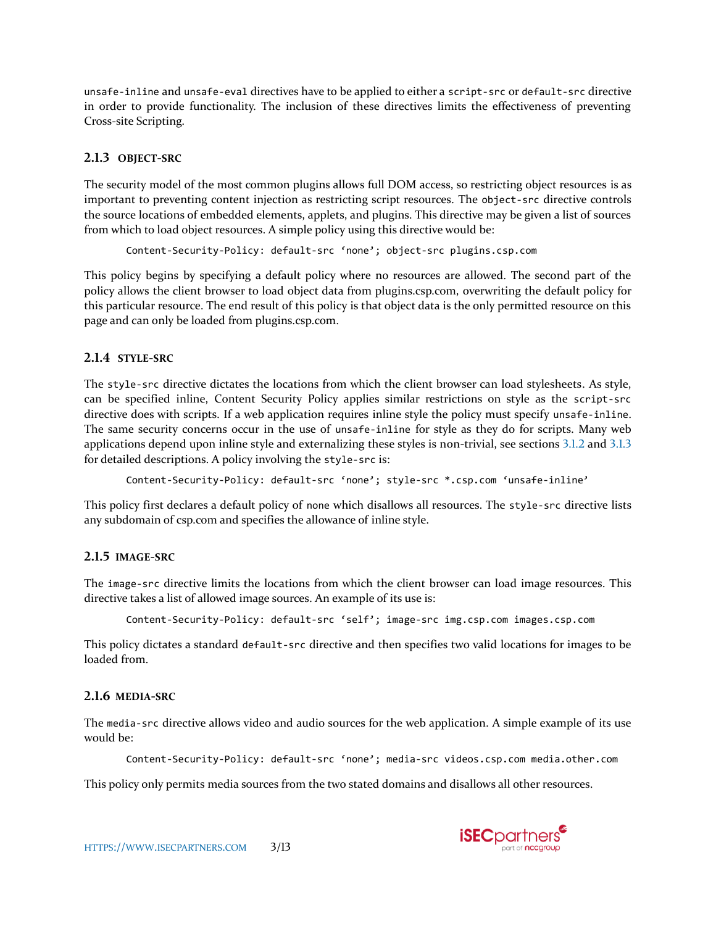unsafe-inline and unsafe-eval directives have to be applied to either a script-src or default-src directive in order to provide functionality. The inclusion of these directives limits the effectiveness of preventing Cross-site Scripting.

# **2.1.3 OBJECT-SRC**

The security model of the most common plugins allows full DOM access, so restricting object resources is as important to preventing content injection as restricting script resources. The object-src directive controls the source locations of embedded elements, applets, and plugins. This directive may be given a list of sources from which to load object resources. A simple policy using this directive would be:

Content-Security-Policy: default-src 'none'; object-src plugins.csp.com

This policy begins by specifying a default policy where no resources are allowed. The second part of the policy allows the client browser to load object data from plugins.csp.com, overwriting the default policy for this particular resource. The end result of this policy is that object data is the only permitted resource on this page and can only be loaded from plugins.csp.com.

# **2.1.4 STYLE-SRC**

The style-src directive dictates the locations from which the client browser can load stylesheets. As style, can be specified inline, Content Security Policy applies similar restrictions on style as the script-src directive does with scripts. If a web application requires inline style the policy must specify unsafe-inline. The same security concerns occur in the use of unsafe-inline for style as they do for scripts. Many web applications depend upon inline style and externalizing these styles is non-trivial, see sections [3.1.2](#page-6-0) and [3.1.3](#page-8-0) for detailed descriptions. A policy involving the style-src is:

Content-Security-Policy: default-src 'none'; style-src \*.csp.com 'unsafe-inline'

This policy first declares a default policy of none which disallows all resources. The style-src directive lists any subdomain of csp.com and specifies the allowance of inline style.

# **2.1.5 IMAGE-SRC**

The image-src directive limits the locations from which the client browser can load image resources. This directive takes a list of allowed image sources. An example of its use is:

Content-Security-Policy: default-src 'self'; image-src img.csp.com images.csp.com

This policy dictates a standard default-src directive and then specifies two valid locations for images to be loaded from.

# **2.1.6 MEDIA-SRC**

The media-src directive allows video and audio sources for the web application. A simple example of its use would be:

```
Content-Security-Policy: default-src 'none'; media-src videos.csp.com media.other.com
```
This policy only permits media sources from the two stated domains and disallows all other resources.

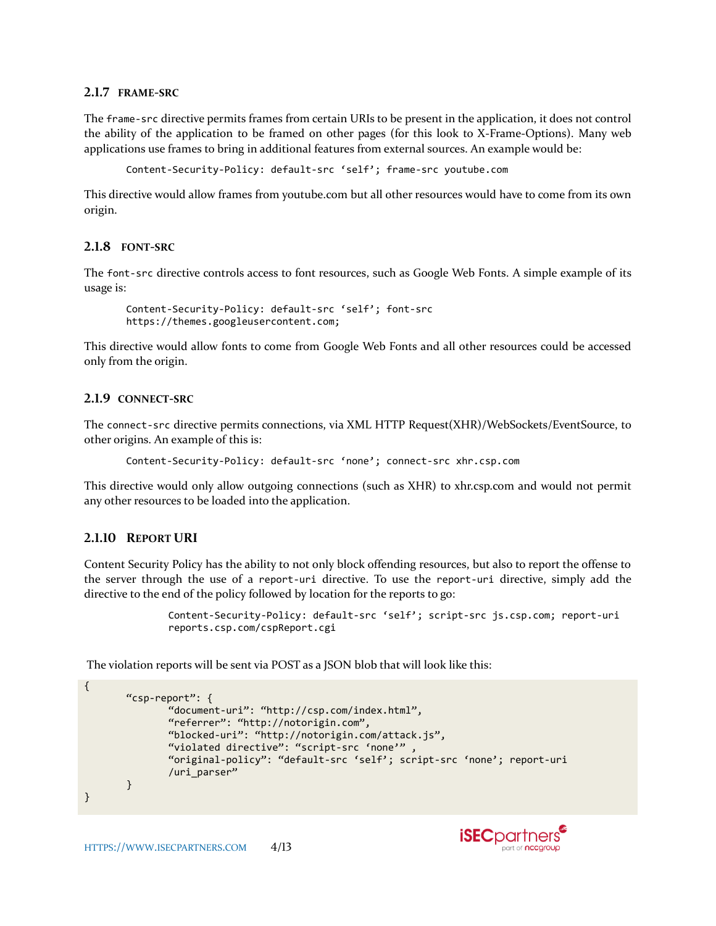#### **2.1.7 FRAME-SRC**

The frame-src directive permits frames from certain URIs to be present in the application, it does not control the ability of the application to be framed on other pages (for this look to X-Frame-Options). Many web applications use frames to bring in additional features from external sources. An example would be:

Content-Security-Policy: default-src 'self'; frame-src youtube.com

This directive would allow frames from youtube.com but all other resources would have to come from its own origin.

#### **2.1.8 FONT-SRC**

The font-src directive controls access to font resources, such as Google Web Fonts. A simple example of its usage is:

Content-Security-Policy: default-src 'self'; font-src https://themes.googleusercontent.com;

This directive would allow fonts to come from Google Web Fonts and all other resources could be accessed only from the origin.

### **2.1.9 CONNECT-SRC**

The connect-src directive permits connections, via XML HTTP Request(XHR)/WebSockets/EventSource, to other origins. An example of this is:

Content-Security-Policy: default-src 'none'; connect-src xhr.csp.com

This directive would only allow outgoing connections (such as XHR) to xhr.csp.com and would not permit any other resources to be loaded into the application.

### **2.1.10 REPORT URI**

Content Security Policy has the ability to not only block offending resources, but also to report the offense to the server through the use of a report-uri directive. To use the report-uri directive, simply add the directive to the end of the policy followed by location for the reports to go:

```
Content-Security-Policy: default-src 'self'; script-src js.csp.com; report-uri 
reports.csp.com/cspReport.cgi
```
The violation reports will be sent via POST as a JSON blob that will look like this:

```
{
       "csp-report": {
               "document-uri": "http://csp.com/index.html",
               "referrer": "http://notorigin.com",
               "blocked-uri": "http://notorigin.com/attack.js",
               "violated directive": "script-src 'none'" ,
              "original-policy": "default-src 'self'; script-src 'none'; report-uri 
               /uri_parser"
       }
}
```
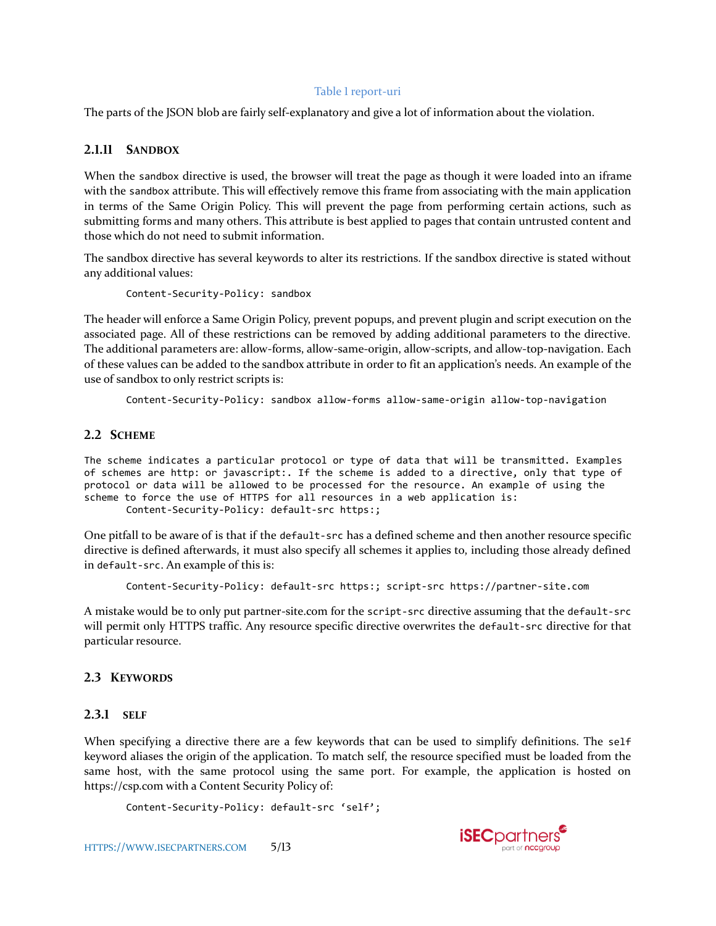### Table 1 report-uri

The parts of the JSON blob are fairly self-explanatory and give a lot of information about the violation.

### **2.1.11 SANDBOX**

When the sandbox directive is used, the browser will treat the page as though it were loaded into an iframe with the sandbox attribute. This will effectively remove this frame from associating with the main application in terms of the Same Origin Policy. This will prevent the page from performing certain actions, such as submitting forms and many others. This attribute is best applied to pages that contain untrusted content and those which do not need to submit information.

The sandbox directive has several keywords to alter its restrictions. If the sandbox directive is stated without any additional values:

Content-Security-Policy: sandbox

The header will enforce a Same Origin Policy, prevent popups, and prevent plugin and script execution on the associated page. All of these restrictions can be removed by adding additional parameters to the directive. The additional parameters are: allow-forms, allow-same-origin, allow-scripts, and allow-top-navigation. Each of these values can be added to the sandbox attribute in order to fit an application's needs. An example of the use of sandbox to only restrict scripts is:

Content-Security-Policy: sandbox allow-forms allow-same-origin allow-top-navigation

### **2.2 SCHEME**

The scheme indicates a particular protocol or type of data that will be transmitted. Examples of schemes are http: or javascript:. If the scheme is added to a directive, only that type of protocol or data will be allowed to be processed for the resource. An example of using the scheme to force the use of HTTPS for all resources in a web application is:

Content-Security-Policy: default-src https:;

One pitfall to be aware of is that if the default-src has a defined scheme and then another resource specific directive is defined afterwards, it must also specify all schemes it applies to, including those already defined in default-src. An example of this is:

Content-Security-Policy: default-src https:; script-src https://partner-site.com

A mistake would be to only put partner-site.com for the script-src directive assuming that the default-src will permit only HTTPS traffic. Any resource specific directive overwrites the default-src directive for that particular resource.

### **2.3 KEYWORDS**

### <span id="page-4-0"></span>**2.3.1 SELF**

When specifying a directive there are a few keywords that can be used to simplify definitions. The self keyword aliases the origin of the application. To match self, the resource specified must be loaded from the same host, with the same protocol using the same port. For example, the application is hosted on https://csp.com with a Content Security Policy of:

Content-Security-Policy: default-src 'self';

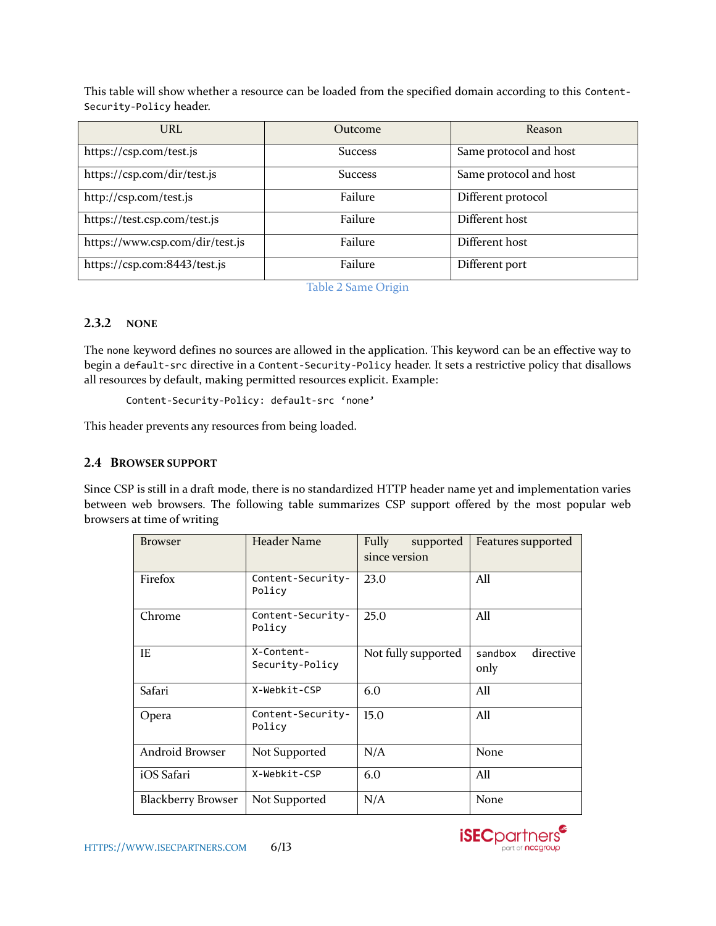This table will show whether a resource can be loaded from the specified domain according to this Content-Security-Policy header.

| URL                             | Outcome        | Reason                 |
|---------------------------------|----------------|------------------------|
| https://csp.com/test.js         | <b>Success</b> | Same protocol and host |
| https://csp.com/dir/test.js     | <b>Success</b> | Same protocol and host |
| http://csp.com/test.js          | Failure        | Different protocol     |
| https://test.csp.com/test.js    | Failure        | Different host         |
| https://www.csp.com/dir/test.js | Failure        | Different host         |
| https://csp.com:8443/test.js    | Failure        | Different port         |

Table 2 Same Origin

# <span id="page-5-0"></span>**2.3.2 NONE**

The none keyword defines no sources are allowed in the application. This keyword can be an effective way to begin a default-src directive in a Content-Security-Policy header. It sets a restrictive policy that disallows all resources by default, making permitted resources explicit. Example:

Content-Security-Policy: default-src 'none'

This header prevents any resources from being loaded.

# **2.4 BROWSER SUPPORT**

Since CSP is still in a draft mode, there is no standardized HTTP header name yet and implementation varies between web browsers. The following table summarizes CSP support offered by the most popular web browsers at time of writing

| <b>Browser</b>            | Header Name                   | Fully<br>supported<br>since version | Features supported           |
|---------------------------|-------------------------------|-------------------------------------|------------------------------|
| Firefox                   | Content-Security-<br>Policy   | 23.0                                | All                          |
| Chrome                    | Content-Security-<br>Policy   | 25.0                                | All                          |
| IE                        | X-Content-<br>Security-Policy | Not fully supported                 | directive<br>sandbox<br>only |
| Safari                    | X-Webkit-CSP                  | 6.0                                 | All                          |
| Opera                     | Content-Security-<br>Policy   | 15.0                                | All                          |
| Android Browser           | Not Supported                 | N/A                                 | None                         |
| iOS Safari                | X-Webkit-CSP                  | 6.0                                 | All                          |
| <b>Blackberry Browser</b> | Not Supported                 | N/A                                 | None                         |

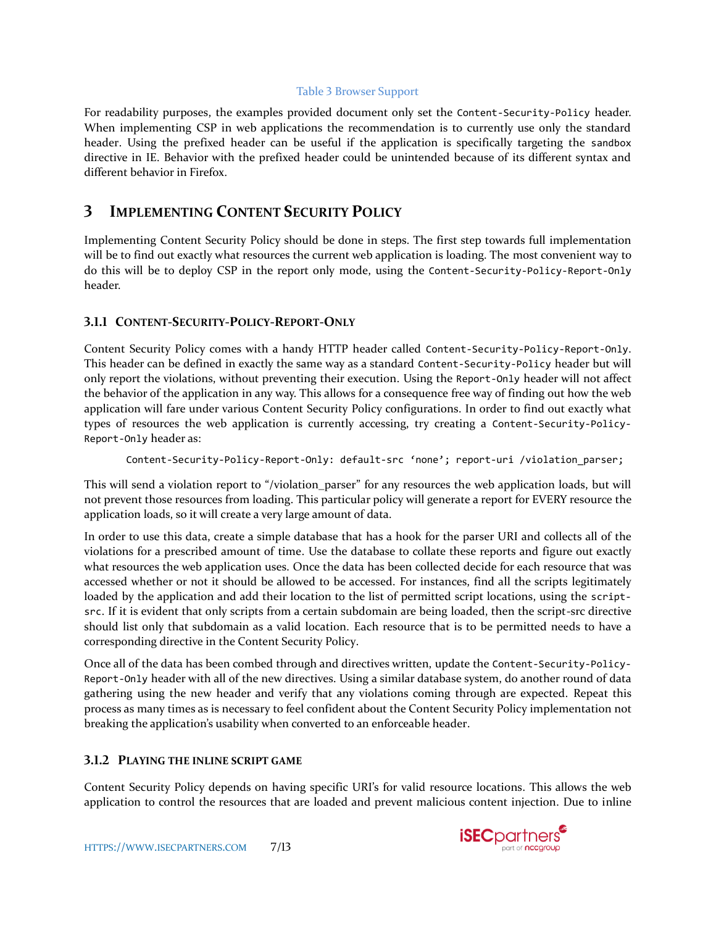### Table 3 Browser Support

For readability purposes, the examples provided document only set the Content-Security-Policy header. When implementing CSP in web applications the recommendation is to currently use only the standard header. Using the prefixed header can be useful if the application is specifically targeting the sandbox directive in IE. Behavior with the prefixed header could be unintended because of its different syntax and different behavior in Firefox.

# **3 IMPLEMENTING CONTENT SECURITY POLICY**

Implementing Content Security Policy should be done in steps. The first step towards full implementation will be to find out exactly what resources the current web application is loading. The most convenient way to do this will be to deploy CSP in the report only mode, using the Content-Security-Policy-Report-Only header.

# **3.1.1 CONTENT-SECURITY-POLICY-REPORT-ONLY**

Content Security Policy comes with a handy HTTP header called Content-Security-Policy-Report-Only. This header can be defined in exactly the same way as a standard Content-Security-Policy header but will only report the violations, without preventing their execution. Using the Report-Only header will not affect the behavior of the application in any way. This allows for a consequence free way of finding out how the web application will fare under various Content Security Policy configurations. In order to find out exactly what types of resources the web application is currently accessing, try creating a Content-Security-Policy-Report-Only header as:

Content-Security-Policy-Report-Only: default-src 'none'; report-uri /violation\_parser;

This will send a violation report to "/violation\_parser" for any resources the web application loads, but will not prevent those resources from loading. This particular policy will generate a report for EVERY resource the application loads, so it will create a very large amount of data.

In order to use this data, create a simple database that has a hook for the parser URI and collects all of the violations for a prescribed amount of time. Use the database to collate these reports and figure out exactly what resources the web application uses. Once the data has been collected decide for each resource that was accessed whether or not it should be allowed to be accessed. For instances, find all the scripts legitimately loaded by the application and add their location to the list of permitted script locations, using the scriptsrc. If it is evident that only scripts from a certain subdomain are being loaded, then the script-src directive should list only that subdomain as a valid location. Each resource that is to be permitted needs to have a corresponding directive in the Content Security Policy.

Once all of the data has been combed through and directives written, update the Content-Security-Policy-Report-Only header with all of the new directives. Using a similar database system, do another round of data gathering using the new header and verify that any violations coming through are expected. Repeat this process as many times as is necessary to feel confident about the Content Security Policy implementation not breaking the application's usability when converted to an enforceable header.

# <span id="page-6-0"></span>**3.1.2 PLAYING THE INLINE SCRIPT GAME**

Content Security Policy depends on having specific URI's for valid resource locations. This allows the web application to control the resources that are loaded and prevent malicious content injection. Due to inline

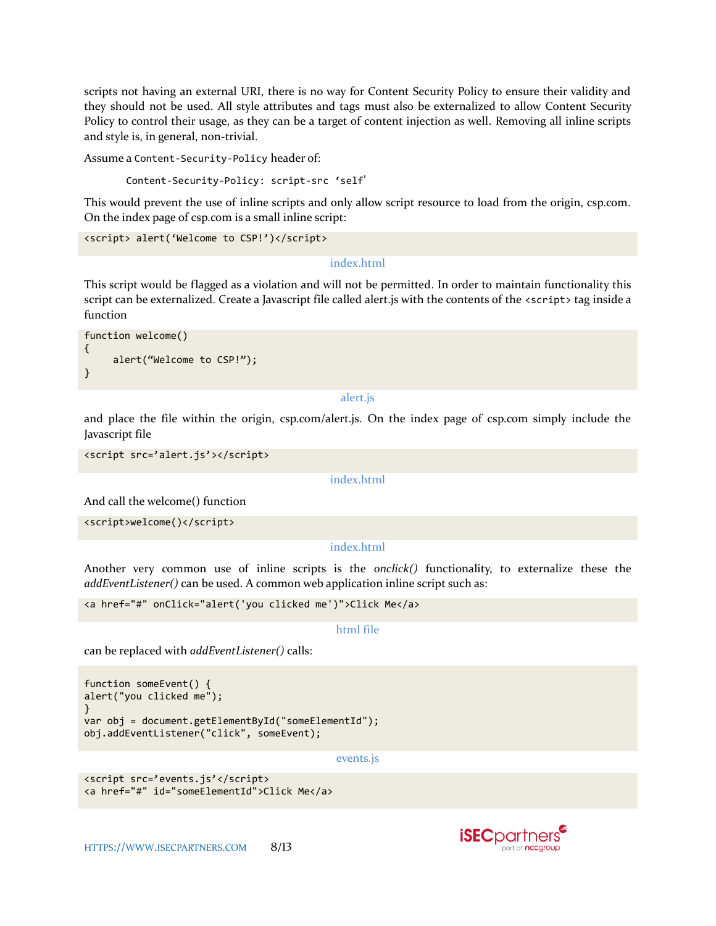scripts not having an external URI, there is no way for Content Security Policy to ensure their validity and they should not be used. All style attributes and tags must also be externalized to allow Content Security Policy to control their usage, as they can be a target of content injection as well. Removing all inline scripts and style is, in general, non-trivial.

Assume a Content-Security-Policy header of:

Content-Security-Policy: script-src 'self'

This would prevent the use of inline scripts and only allow script resource to load from the origin, csp.com. On the index page of csp.com is a small inline script:

```
<script> alert('Welcome to CSP!')</script>
```
#### index.html

This script would be flagged as a violation and will not be permitted. In order to maintain functionality this script can be externalized. Create a Javascript file called alert.js with the contents of the <script> tag inside a function

```
function welcome()
{
      alert("Welcome to CSP!");
}
```
#### alert.js

and place the file within the origin, csp.com/alert.js. On the index page of csp.com simply include the Javascript file

```
<script src='alert.js'></script>
```
#### index.html

And call the welcome() function

<script>welcome()</script>

#### index.html

Another very common use of inline scripts is the *onclick()* functionality, to externalize these the *addEventListener()* can be used. A common web application inline script such as:

```
<a href="#" onClick="alert('you clicked me')">Click Me</a>
```
#### html file

can be replaced with *addEventListener()* calls:

```
function someEvent() {
alert("you clicked me");
}
var obj = document.getElementById("someElementId");
obj.addEventListener("click", someEvent);
```
#### events.js

```
<script src='events.js'</script>
<a href="#" id="someElementId">Click Me</a>
```
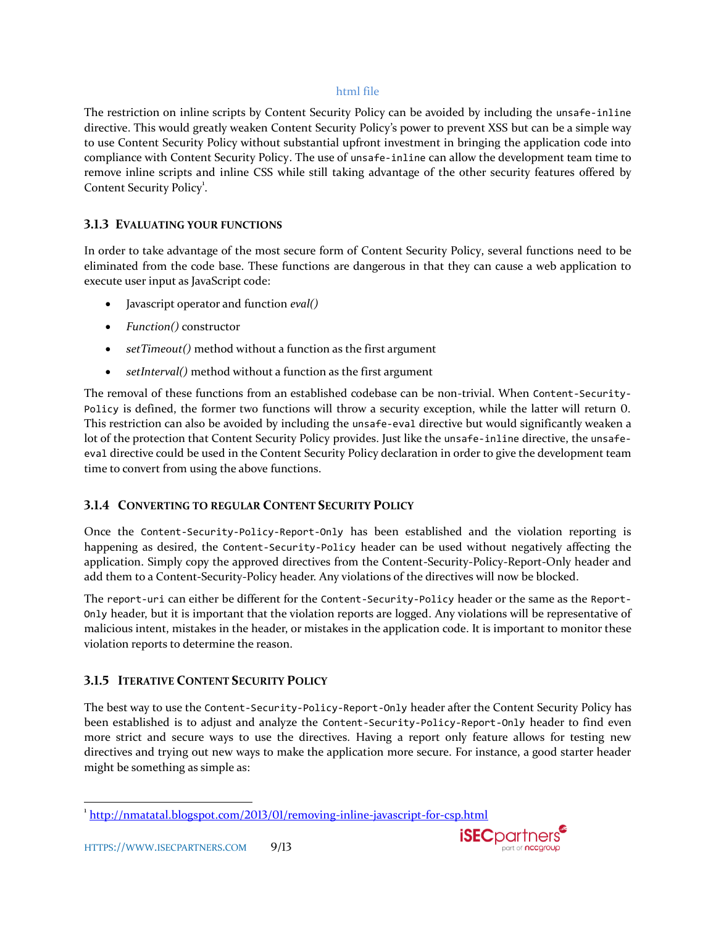### html file

The restriction on inline scripts by Content Security Policy can be avoided by including the unsafe-inline directive. This would greatly weaken Content Security Policy's power to prevent XSS but can be a simple way to use Content Security Policy without substantial upfront investment in bringing the application code into compliance with Content Security Policy. The use of unsafe-inline can allow the development team time to remove inline scripts and inline CSS while still taking advantage of the other security features offered by Content Security Policy<sup>1</sup>.

# <span id="page-8-0"></span>**3.1.3 EVALUATING YOUR FUNCTIONS**

In order to take advantage of the most secure form of Content Security Policy, several functions need to be eliminated from the code base. These functions are dangerous in that they can cause a web application to execute user input as JavaScript code:

- Javascript operator and function *eval()*
- *Function()* constructor
- *setTimeout()* method without a function as the first argument
- *setInterval()* method without a function as the first argument

The removal of these functions from an established codebase can be non-trivial. When Content-Security-Policy is defined, the former two functions will throw a security exception, while the latter will return 0. This restriction can also be avoided by including the unsafe-eval directive but would significantly weaken a lot of the protection that Content Security Policy provides. Just like the unsafe-inline directive, the unsafeeval directive could be used in the Content Security Policy declaration in order to give the development team time to convert from using the above functions.

# **3.1.4 CONVERTING TO REGULAR CONTENT SECURITY POLICY**

Once the Content-Security-Policy-Report-Only has been established and the violation reporting is happening as desired, the Content-Security-Policy header can be used without negatively affecting the application. Simply copy the approved directives from the Content-Security-Policy-Report-Only header and add them to a Content-Security-Policy header. Any violations of the directives will now be blocked.

The report-uri can either be different for the Content-Security-Policy header or the same as the Report-Only header, but it is important that the violation reports are logged. Any violations will be representative of malicious intent, mistakes in the header, or mistakes in the application code. It is important to monitor these violation reports to determine the reason.

# **3.1.5 ITERATIVE CONTENT SECURITY POLICY**

The best way to use the Content-Security-Policy-Report-Only header after the Content Security Policy has been established is to adjust and analyze the Content-Security-Policy-Report-Only header to find even more strict and secure ways to use the directives. Having a report only feature allows for testing new directives and trying out new ways to make the application more secure. For instance, a good starter header might be something as simple as:

 $\overline{\phantom{a}}$ 



<sup>&</sup>lt;sup>1</sup>[http://nmatatal.blogspot.com/2013/01/removing](http://nmatatal.blogspot.com/2013/01/removing-inline-javascript-for-csp.html)-inline-javascript-for-csp.html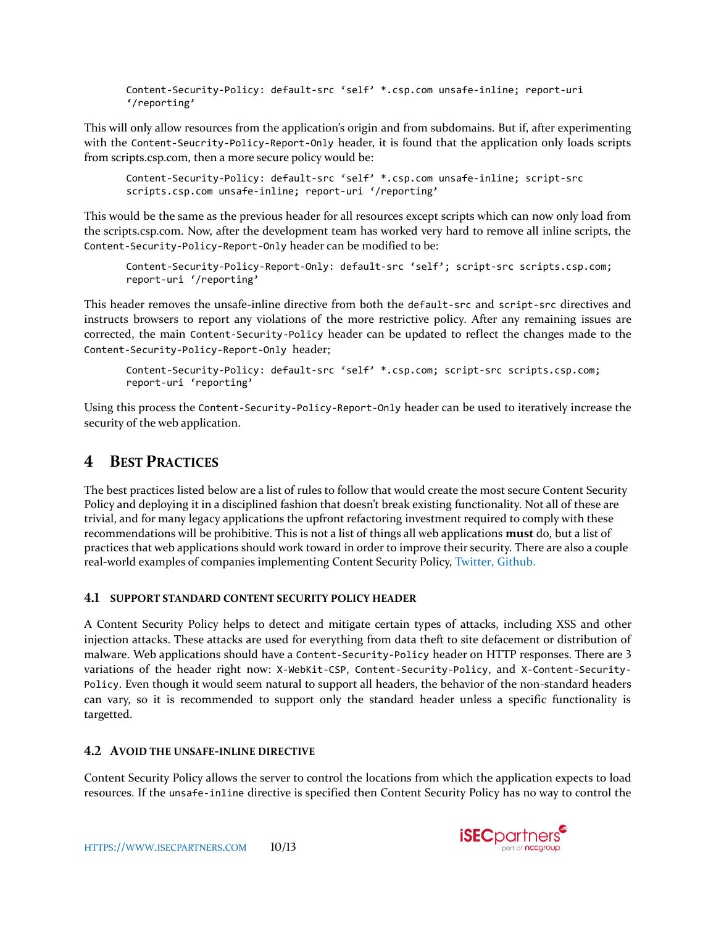Content-Security-Policy: default-src 'self' \*.csp.com unsafe-inline; report-uri '/reporting'

This will only allow resources from the application's origin and from subdomains. But if, after experimenting with the Content-Seucrity-Policy-Report-Only header, it is found that the application only loads scripts from scripts.csp.com, then a more secure policy would be:

```
Content-Security-Policy: default-src 'self' *.csp.com unsafe-inline; script-src 
scripts.csp.com unsafe-inline; report-uri '/reporting'
```
This would be the same as the previous header for all resources except scripts which can now only load from the scripts.csp.com. Now, after the development team has worked very hard to remove all inline scripts, the Content-Security-Policy-Report-Only header can be modified to be:

```
Content-Security-Policy-Report-Only: default-src 'self'; script-src scripts.csp.com; 
report-uri '/reporting'
```
This header removes the unsafe-inline directive from both the default-src and script-src directives and instructs browsers to report any violations of the more restrictive policy. After any remaining issues are corrected, the main Content-Security-Policy header can be updated to reflect the changes made to the Content-Security-Policy-Report-Only header;

```
Content-Security-Policy: default-src 'self' *.csp.com; script-src scripts.csp.com; 
report-uri 'reporting'
```
Using this process the Content-Security-Policy-Report-Only header can be used to iteratively increase the security of the web application.

# **4 BEST PRACTICES**

The best practices listed below are a list of rules to follow that would create the most secure Content Security Policy and deploying it in a disciplined fashion that doesn't break existing functionality. Not all of these are trivial, and for many legacy applications the upfront refactoring investment required to comply with these recommendations will be prohibitive. This is not a list of things all web applications **must** do, but a list of practices that web applications should work toward in order to improve their security. There are also a couple real-world examples of companies implementing Content Security Policy, [Twitter,](https://blog.twitter.com/2013/csp-rescue-leveraging-browser-security) [Github.](https://github.com/blog/1477-content-security-policy)

# **4.1 SUPPORT STANDARD CONTENT SECURITY POLICY HEADER**

A Content Security Policy helps to detect and mitigate certain types of attacks, including XSS and other injection attacks. These attacks are used for everything from data theft to site defacement or distribution of malware. Web applications should have a Content-Security-Policy header on HTTP responses. There are 3 variations of the header right now: X-WebKit-CSP, Content-Security-Policy, and X-Content-Security-Policy. Even though it would seem natural to support all headers, the behavior of the non-standard headers can vary, so it is recommended to support only the standard header unless a specific functionality is targetted.

# **4.2 AVOID THE UNSAFE-INLINE DIRECTIVE**

Content Security Policy allows the server to control the locations from which the application expects to load resources. If the unsafe-inline directive is specified then Content Security Policy has no way to control the

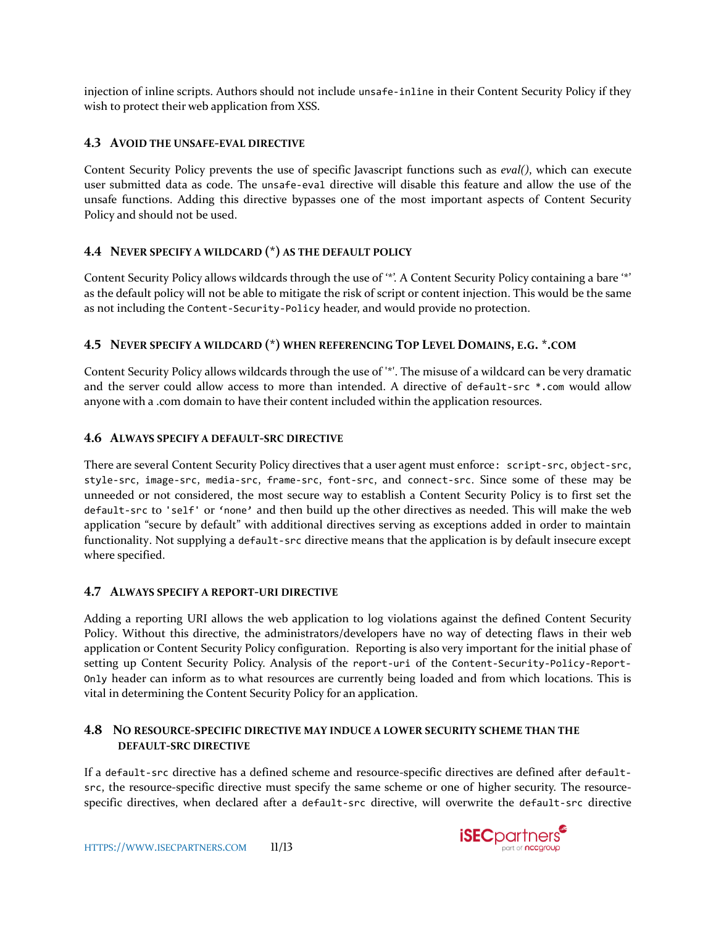injection of inline scripts. Authors should not include unsafe-inline in their Content Security Policy if they wish to protect their web application from XSS.

# **4.3 AVOID THE UNSAFE-EVAL DIRECTIVE**

Content Security Policy prevents the use of specific Javascript functions such as *eval()*, which can execute user submitted data as code. The unsafe-eval directive will disable this feature and allow the use of the unsafe functions. Adding this directive bypasses one of the most important aspects of Content Security Policy and should not be used.

# **4.4 NEVER SPECIFY A WILDCARD (\*) AS THE DEFAULT POLICY**

Content Security Policy allows wildcards through the use of '\*'. A Content Security Policy containing a bare '\*' as the default policy will not be able to mitigate the risk of script or content injection. This would be the same as not including the Content-Security-Policy header, and would provide no protection.

# **4.5 NEVER SPECIFY A WILDCARD (\*) WHEN REFERENCING TOP LEVEL DOMAINS, E.G. \*.COM**

Content Security Policy allows wildcards through the use of '\*'. The misuse of a wildcard can be very dramatic and the server could allow access to more than intended. A directive of default-src \*.com would allow anyone with a .com domain to have their content included within the application resources.

# **4.6 ALWAYS SPECIFY A DEFAULT-SRC DIRECTIVE**

There are several Content Security Policy directives that a user agent must enforce: script-src, object-src, style-src, image-src, media-src, frame-src, font-src, and connect-src. Since some of these may be unneeded or not considered, the most secure way to establish a Content Security Policy is to first set the default-src to 'self' or 'none' and then build up the other directives as needed. This will make the web application "secure by default" with additional directives serving as exceptions added in order to maintain functionality. Not supplying a default-src directive means that the application is by default insecure except where specified.

# **4.7 ALWAYS SPECIFY A REPORT-URI DIRECTIVE**

Adding a reporting URI allows the web application to log violations against the defined Content Security Policy. Without this directive, the administrators/developers have no way of detecting flaws in their web application or Content Security Policy configuration. Reporting is also very important for the initial phase of setting up Content Security Policy. Analysis of the report-uri of the Content-Security-Policy-Report-Only header can inform as to what resources are currently being loaded and from which locations. This is vital in determining the Content Security Policy for an application.

# **4.8 NO RESOURCE-SPECIFIC DIRECTIVE MAY INDUCE A LOWER SECURITY SCHEME THAN THE DEFAULT-SRC DIRECTIVE**

If a default-src directive has a defined scheme and resource-specific directives are defined after defaultsrc, the resource-specific directive must specify the same scheme or one of higher security. The resourcespecific directives, when declared after a default-src directive, will overwrite the default-src directive

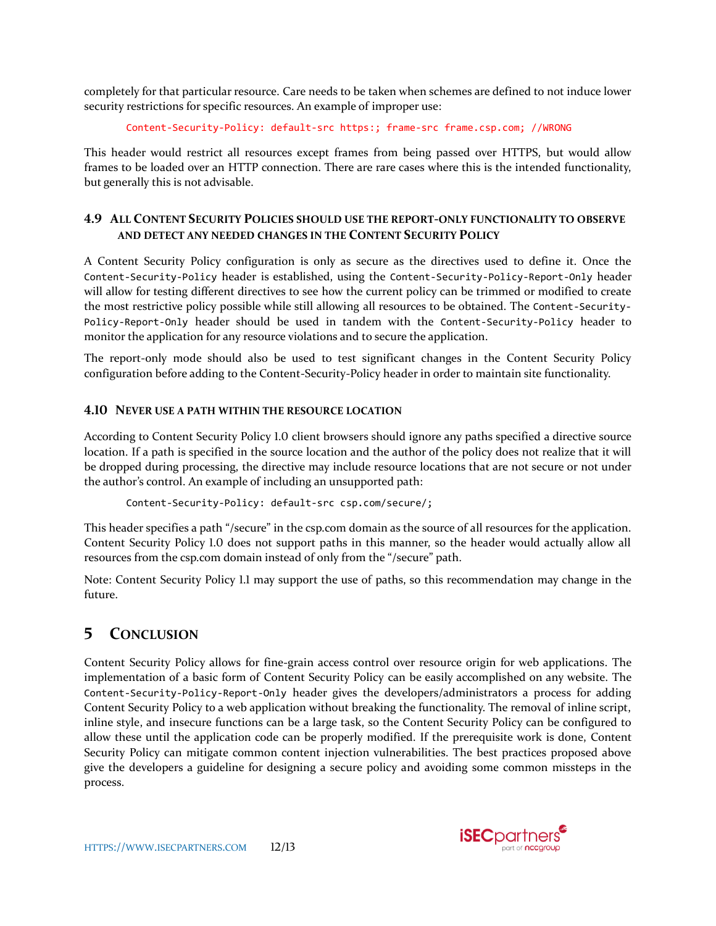completely for that particular resource. Care needs to be taken when schemes are defined to not induce lower security restrictions for specific resources. An example of improper use:

```
Content-Security-Policy: default-src https:; frame-src frame.csp.com; //WRONG
```
This header would restrict all resources except frames from being passed over HTTPS, but would allow frames to be loaded over an HTTP connection. There are rare cases where this is the intended functionality, but generally this is not advisable.

# **4.9 ALL CONTENT SECURITY POLICIES SHOULD USE THE REPORT-ONLY FUNCTIONALITY TO OBSERVE AND DETECT ANY NEEDED CHANGES IN THE CONTENT SECURITY POLICY**

A Content Security Policy configuration is only as secure as the directives used to define it. Once the Content-Security-Policy header is established, using the Content-Security-Policy-Report-Only header will allow for testing different directives to see how the current policy can be trimmed or modified to create the most restrictive policy possible while still allowing all resources to be obtained. The Content-Security-Policy-Report-Only header should be used in tandem with the Content-Security-Policy header to monitor the application for any resource violations and to secure the application.

The report-only mode should also be used to test significant changes in the Content Security Policy configuration before adding to the Content-Security-Policy header in order to maintain site functionality.

# **4.10 NEVER USE A PATH WITHIN THE RESOURCE LOCATION**

According to Content Security Policy 1.0 client browsers should ignore any paths specified a directive source location. If a path is specified in the source location and the author of the policy does not realize that it will be dropped during processing, the directive may include resource locations that are not secure or not under the author's control. An example of including an unsupported path:

```
Content-Security-Policy: default-src csp.com/secure/;
```
This header specifies a path "/secure" in the csp.com domain as the source of all resources for the application. Content Security Policy 1.0 does not support paths in this manner, so the header would actually allow all resources from the csp.com domain instead of only from the "/secure" path.

Note: Content Security Policy 1.1 may support the use of paths, so this recommendation may change in the future.

# **5 CONCLUSION**

Content Security Policy allows for fine-grain access control over resource origin for web applications. The implementation of a basic form of Content Security Policy can be easily accomplished on any website. The Content-Security-Policy-Report-Only header gives the developers/administrators a process for adding Content Security Policy to a web application without breaking the functionality. The removal of inline script, inline style, and insecure functions can be a large task, so the Content Security Policy can be configured to allow these until the application code can be properly modified. If the prerequisite work is done, Content Security Policy can mitigate common content injection vulnerabilities. The best practices proposed above give the developers a guideline for designing a secure policy and avoiding some common missteps in the process.